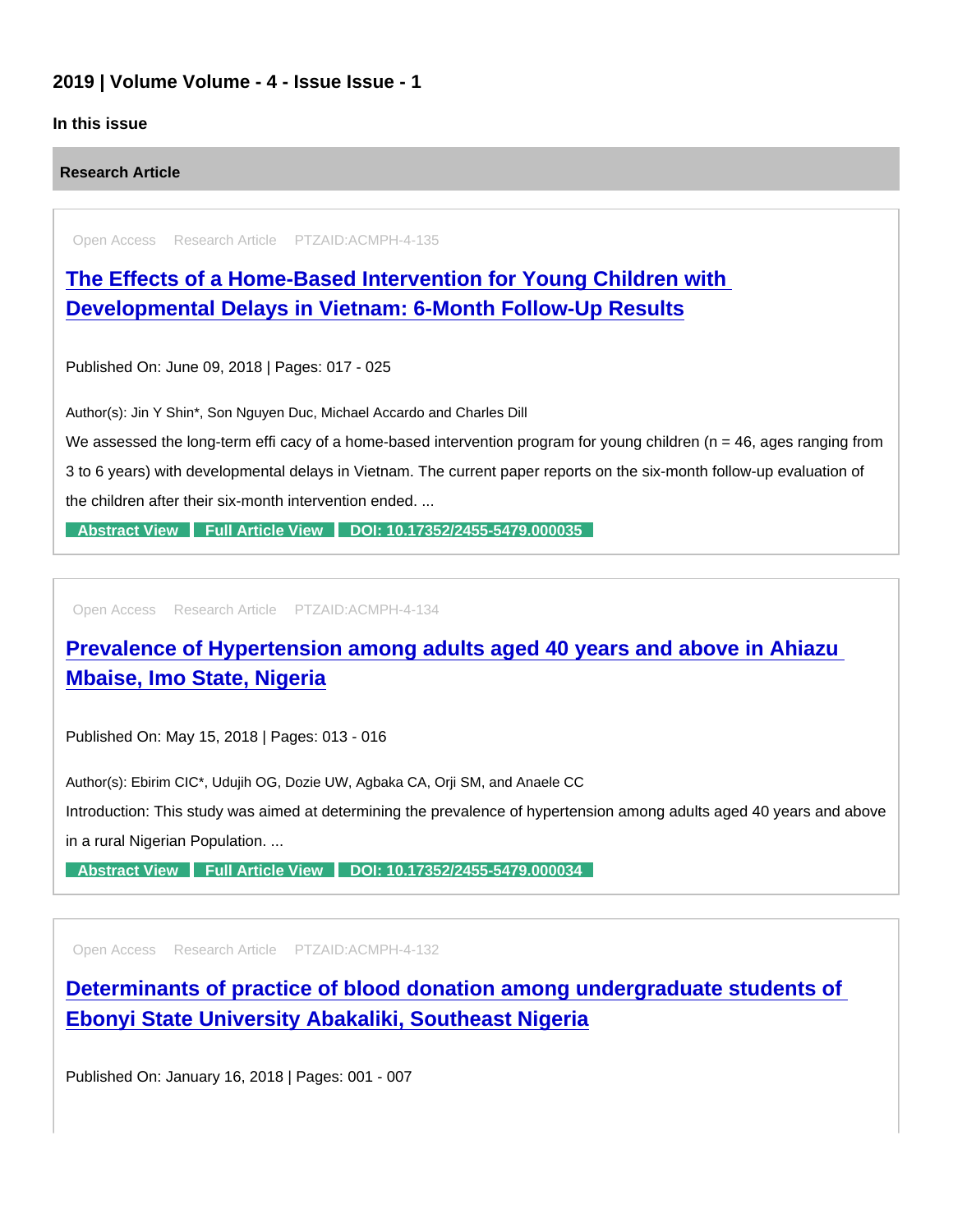## 2019 | Volume Volume - 4 - Issue Issue - 1

## In this issue

Research Article

Open Access Research Article PTZAID:ACMPH-4-135

[The Effects of a Home-Based Intervention for Young Children with](https://www.peertechzpublications.com/articles/the-effects-of-a-home-based-intervention-for-young-children-with-developmental-delays-in-vietnam-6-month-follow-up-results)  Developmental Delays in Vietnam: 6-Month Follow-Up Results

Published On: June 09, 2018 | Pages: 017 - 025

Author(s): Jin Y Shin\*, Son Nguyen Duc, Michael Accardo and Charles Dill

We assessed the long-term effi cacy of a home-based intervention program for young children ( $n = 46$ , ages ranging from 3 to 6 years) with developmental delays in Vietnam. The current paper reports on the six-month follow-up evaluation of the children after their six-month intervention ended. ...

[Abstract View](https://www.peertechzpublications.com/abstracts/the-effects-of-a-home-based-intervention-for-young-children-with-developmental-delays-in-vietnam-6-month-follow-up-results) [Full Article View](https://www.peertechzpublications.com/articles/the-effects-of-a-home-based-intervention-for-young-children-with-developmental-delays-in-vietnam-6-month-follow-up-results) [DOI: 10.17352/2455-5479.000035](http://dx.doi.org/10.17352/2455-5479.000035)

Open Access Research Article PTZAID:ACMPH-4-134

[Prevalence of Hypertension among adults aged 40 years and above in Ahiazu](https://www.peertechzpublications.com/articles/prevalence-of-hypertension-among-adults-aged-40-years-and-above-in-ahiazu-mbaise-imo-state-nigeria)  Mbaise, Imo State, Nigeria

Published On: May 15, 2018 | Pages: 013 - 016

Author(s): Ebirim CIC\*, Udujih OG, Dozie UW, Agbaka CA, Orji SM, and Anaele CC

Introduction: This study was aimed at determining the prevalence of hypertension among adults aged 40 years and above

in a rural Nigerian Population. ...

[Abstract View](https://www.peertechzpublications.com/abstracts/prevalence-of-hypertension-among-adults-aged-40-years-and-above-in-ahiazu-mbaise-imo-state-nigeria) [Full Article View](https://www.peertechzpublications.com/articles/prevalence-of-hypertension-among-adults-aged-40-years-and-above-in-ahiazu-mbaise-imo-state-nigeria) [DOI: 10.17352/2455-5479.000034](http://dx.doi.org/10.17352/2455-5479.000034)

Open Access Research Article PTZAID:ACMPH-4-132

[Determinants of practice of blood donation among undergraduate students of](https://www.peertechzpublications.com/articles/determinants-of-practice-of-blood-donation-among-undergraduate-students-of-ebonyi-state-university-abakaliki-southeast-nigeria)  Ebonyi State University Abakaliki, Southeast Nigeria

Published On: January 16, 2018 | Pages: 001 - 007